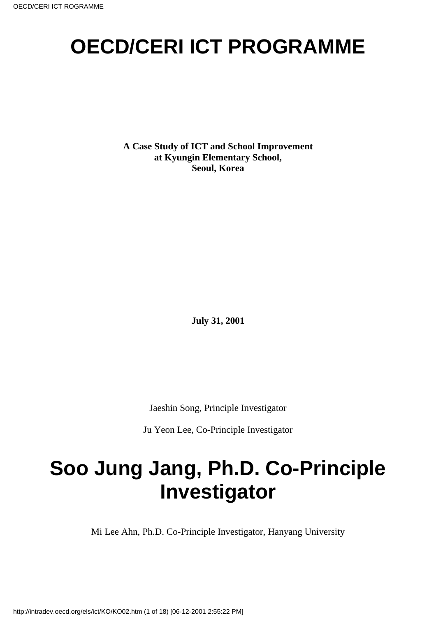# **OECD/CERI ICT PROGRAMME**

**A Case Study of ICT and School Improvement at Kyungin Elementary School, Seoul, Korea**

**July 31, 2001**

Jaeshin Song, Principle Investigator

Ju Yeon Lee, Co-Principle Investigator

# **Soo Jung Jang, Ph.D. Co-Principle Investigator**

Mi Lee Ahn, Ph.D. Co-Principle Investigator, Hanyang University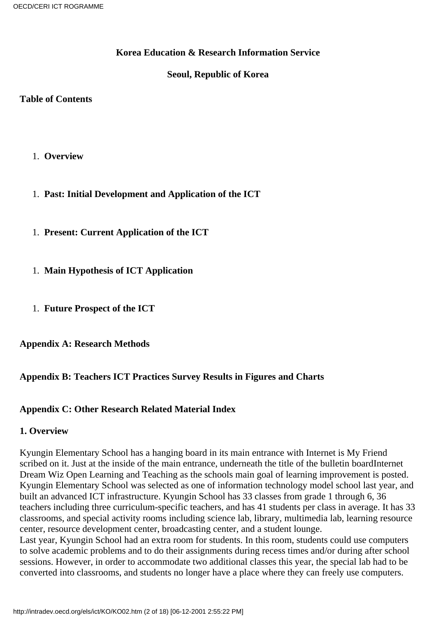#### **Korea Education & Research Information Service**

#### **Seoul, Republic of Korea**

#### **Table of Contents**

- 1. **Overview**
- 1. **Past: Initial Development and Application of the ICT**
- 1. **Present: Current Application of the ICT**
- 1. **Main Hypothesis of ICT Application**
- 1. **Future Prospect of the ICT**

**Appendix A: Research Methods**

### **Appendix B: Teachers ICT Practices Survey Results in Figures and Charts**

#### **Appendix C: Other Research Related Material Index**

#### **1. Overview**

Kyungin Elementary School has a hanging board in its main entrance with Internet is My Friend scribed on it. Just at the inside of the main entrance, underneath the title of the bulletin board Internet Dream Wiz Open Learning and Teaching as the school s main goal of learning improvement is posted. Kyungin Elementary School was selected as one of information technology model school last year, and built an advanced ICT infrastructure. Kyungin School has 33 classes from grade 1 through 6, 36 teachers including three curriculum-specific teachers, and has 41 students per class in average. It has 33 classrooms, and special activity rooms including science lab, library, multimedia lab, learning resource center, resource development center, broadcasting center, and a student lounge.

Last year, Kyungin School had an extra room for students. In this room, students could use computers to solve academic problems and to do their assignments during recess times and/or during after school sessions. However, in order to accommodate two additional classes this year, the special lab had to be converted into classrooms, and students no longer have a place where they can freely use computers.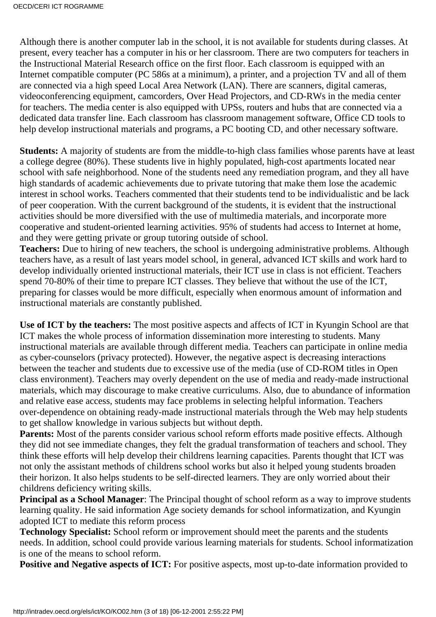Although there is another computer lab in the school, it is not available for students during classes. At present, every teacher has a computer in his or her classroom. There are two computers for teachers in the Instructional Material Research office on the first floor. Each classroom is equipped with an Internet compatible computer (PC 586 s at a minimum), a printer, and a projection TV and all of them are connected via a high speed Local Area Network (LAN). There are scanners, digital cameras, videoconferencing equipment, camcorders, Over Head Projectors, and CD-RWs in the media center for teachers. The media center is also equipped with UPS s, routers and hubs that are connected via a dedicated data transfer line. Each classroom has classroom management software, Office CD tools to help develop instructional materials and programs, a PC booting CD, and other necessary software.

**Students:** A majority of students are from the middle-to-high class families whose parents have at least a college degree (80%). These students live in highly populated, high-cost apartments located near school with safe neighborhood. None of the students need any remediation program, and they all have high standards of academic achievements due to private tutoring that make them lose the academic interest in school works. Teachers commented that their students tend to be individualistic and be lack of peer cooperation. With the current background of the students, it is evident that the instructional activities should be more diversified with the use of multimedia materials, and incorporate more cooperative and student-oriented learning activities. 95% of students had access to Internet at home, and they were getting private or group tutoring outside of school.

**Teachers:** Due to hiring of new teachers, the school is undergoing administrative problems. Although teachers have, as a result of last years model school, in general, advanced ICT skills and work hard to develop individually oriented instructional materials, their ICT use in class is not efficient. Teachers spend 70-80% of their time to prepare ICT classes. They believe that without the use of the ICT, preparing for classes would be more difficult, especially when enormous amount of information and instructional materials are constantly published.

**Use of ICT by the teachers:** The most positive aspects and affects of ICT in Kyungin School are that ICT makes the whole process of information dissemination more interesting to students. Many instructional materials are available through different media. Teachers can participate in online media as cyber-counselors (privacy protected). However, the negative aspect is decreasing interactions between the teacher and students due to excessive use of the media (use of CD-ROM titles in Open class environment). Teachers may overly dependent on the use of media and ready-made instructional materials, which may discourage to make creative curriculums. Also, due to abundance of information and relative ease access, students may face problems in selecting helpful information. Teachers over-dependence on obtaining ready-made instructional materials through the Web may help students to get shallow knowledge in various subjects but without depth.

**Parents:** Most of the parents consider various school reform efforts made positive effects. Although they did not see immediate changes, they felt the gradual transformation of teachers and school. They think these efforts will help develop their childrens learning capacities. Parents thought that ICT was not only the assistant methods of children s school works but also it helped young students broaden their horizon. It also helps students to be self-directed learners. They are only worried about their childrens deficiency writing skills.

**Principal as a School Manager**: The Principal thought of school reform as a way to improve students learning quality. He said information Age society demands for school informatization, and Kyungin adopted ICT to mediate this reform process

**Technology Specialist:** School reform or improvement should meet the parents and the students needs. In addition, school could provide various learning materials for students. School informatization is one of the means to school reform.

**Positive and Negative aspects of ICT:** For positive aspects, most up-to-date information provided to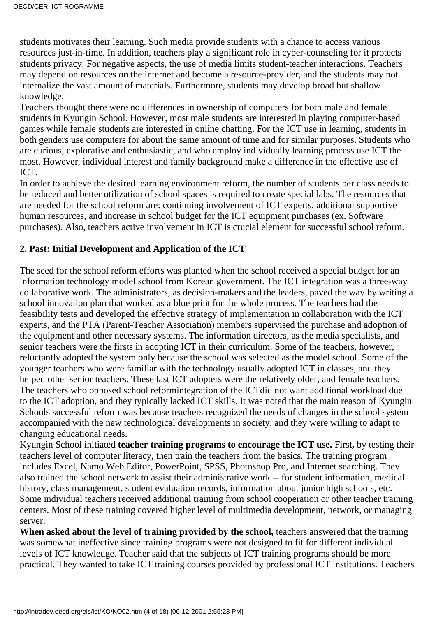students motivates their learning. Such media provide students with a chance to access various resources just-in-time. In addition, teachers play a significant role in cyber-counseling for it protects students privacy. For negative aspects, the use of media limits student-teacher interactions. Teachers may depend on resources on the internet and become a resource-provider, and the students may not internalize the vast amount of materials. Furthermore, students may develop broad but shallow knowledge.

Teachers thought there were no differences in ownership of computers for both male and female students in Kyungin School. However, most male students are interested in playing computer-based games while female students are interested in online chatting. For the ICT use in learning, students in both genders use computers for about the same amount of time and for similar purposes. Students who are curious, explorative and enthusiastic, and who employ individually learning process use ICT the most. However, individual interest and family background make a difference in the effective use of ICT.

In order to achieve the desired learning environment reform, the number of students per class needs to be reduced and better utilization of school spaces is required to create special labs. The resources that are needed for the school reform are: continuing involvement of ICT experts, additional supportive human resources, and increase in school budget for the ICT equipment purchases (ex. Software purchases). Also, teachers active involvement in ICT is crucial element for successful school reform.

#### **2. Past: Initial Development and Application of the ICT**

The seed for the school reform efforts was planted when the school received a special budget for an information technology model school from Korean government. The ICT integration was a three-way collaborative work. The administrators, as decision-makers and the leaders, paved the way by writing a school innovation plan that worked as a blue print for the whole process. The teachers had the feasibility tests and developed the effective strategy of implementation in collaboration with the ICT experts, and the PTA (Parent-Teacher Association) members supervised the purchase and adoption of the equipment and other necessary systems. The information directors, as the media specialists, and senior teachers were the firsts in adopting ICT in their curriculum. Some of the teachers, however, reluctantly adopted the system only because the school was selected as the model school. Some of the younger teachers who were familiar with the technology usually adopted ICT in classes, and they helped other senior teachers. These last ICT adopters were the relatively older, and female teachers. The teachers who opposed school reform integration of the ICT did not want additional workload due to the ICT adoption, and they typically lacked ICT skills. It was noted that the main reason of Kyungin School s successful reform was because teachers recognized the needs of changes in the school system accompanied with the new technological developments in society, and they were willing to adapt to changing educational needs.

Kyungin School initiated **teacher training programs to encourage the ICT use.** First**,** by testing their teachers level of computer literacy, then train the teachers from the basics. The training program includes Excel, Namo Web Editor, PowerPoint, SPSS, Photoshop Pro, and Internet searching. They also trained the school network to assist their administrative work -- for student information, medical history, class management, student evaluation records, information about junior high schools, etc. Some individual teachers received additional training from school cooperation or other teacher training centers. Most of these training covered higher level of multimedia development, network, or managing server.

**When asked about the level of training provided by the school,** teachers answered that the training was somewhat ineffective since training programs were not designed to fit for different individual levels of ICT knowledge. Teacher said that the subjects of ICT training programs should be more practical. They wanted to take ICT training courses provided by professional ICT institutions. Teachers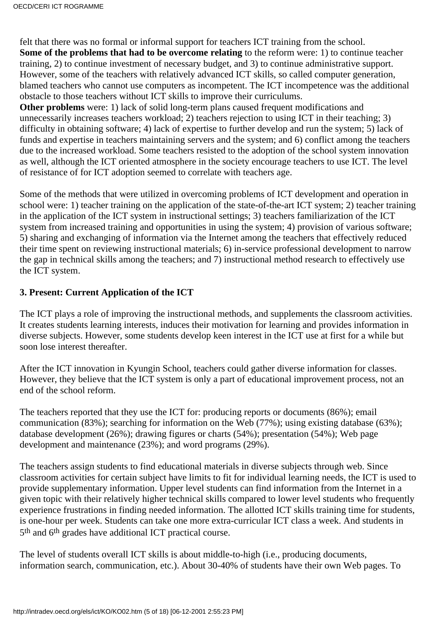felt that there was no formal or informal support for teachers ICT training from the school. **Some of the problems that had to be overcome relating** to the reform were: 1) to continue teacher training, 2) to continue investment of necessary budget, and 3) to continue administrative support. However, some of the teachers with relatively advanced ICT skills, so called computer generation, blamed teachers who cannot use computers as incompetent. The ICT incompetence was the additional obstacle to those teachers without ICT skills to improve their curriculums.

**Other problems** were: 1) lack of solid long-term plans caused frequent modifications and unnecessarily increases teachers workload; 2) teachers rejection to using ICT in their teaching; 3) difficulty in obtaining software; 4) lack of expertise to further develop and run the system; 5) lack of funds and expertise in teachers maintaining servers and the system; and 6) conflict among the teachers due to the increased workload. Some teachers resisted to the adoption of the school system innovation as well, although the ICT oriented atmosphere in the society encourage teachers to use ICT. The level of resistance of for ICT adoption seemed to correlate with teachers age.

Some of the methods that were utilized in overcoming problems of ICT development and operation in school were: 1) teacher training on the application of the state-of-the-art ICT system; 2) teacher training in the application of the ICT system in instructional settings; 3) teachers familiarization of the ICT system from increased training and opportunities in using the system; 4) provision of various software; 5) sharing and exchanging of information via the Internet among the teachers that effectively reduced their time spent on reviewing instructional materials; 6) in-service professional development to narrow the gap in technical skills among the teachers; and 7) instructional method research to effectively use the ICT system.

#### **3. Present: Current Application of the ICT**

The ICT plays a role of improving the instructional methods, and supplements the classroom activities. It creates students learning interests, induces their motivation for learning and provides information in diverse subjects. However, some students develop keen interest in the ICT use at first for a while but soon lose interest thereafter.

After the ICT innovation in Kyungin School, teachers could gather diverse information for classes. However, they believe that the ICT system is only a part of educational improvement process, not an end of the school reform.

The teachers reported that they use the ICT for: producing reports or documents (86%); email communication (83%); searching for information on the Web (77%); using existing database (63%); database development (26%); drawing figures or charts (54%); presentation (54%); Web page development and maintenance (23%); and word programs (29%).

The teachers assign students to find educational materials in diverse subjects through web. Since classroom activities for certain subject have limits to fit for individual learning needs, the ICT is used to provide supplementary information. Upper level students can find information from the Internet in a given topic with their relatively higher technical skills compared to lower level students who frequently experience frustrations in finding needed information. The allotted ICT skills training time for students, is one-hour per week. Students can take one more extra-curricular ICT class a week. And students in 5th and 6th grades have additional ICT practical course.

The level of students overall ICT skills is about middle-to-high (i.e., producing documents, information search, communication, etc.). About 30-40% of students have their own Web pages. To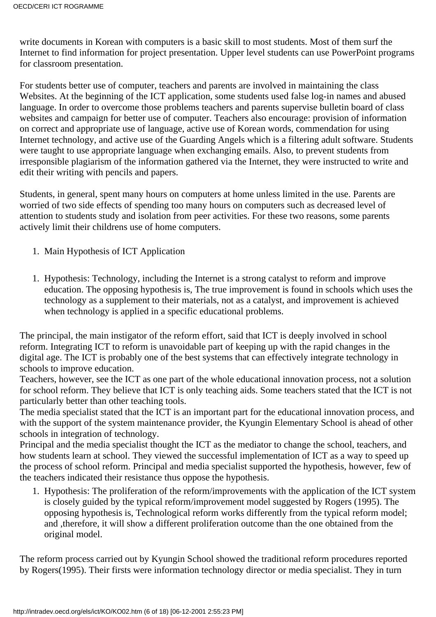write documents in Korean with computers is a basic skill to most students. Most of them surf the Internet to find information for project presentation. Upper level students can use PowerPoint programs for classroom presentation.

For students better use of computer, teachers and parents are involved in maintaining the class Websites. At the beginning of the ICT application, some students used false log-in names and abused language. In order to overcome those problems teachers and parents supervise bulletin board of class websites and campaign for better use of computer. Teachers also encourage: provision of information on correct and appropriate use of language, active use of Korean words, commendation for using Internet technology, and active use of the Guarding Angels which is a filtering adult software. Students were taught to use appropriate language when exchanging emails. Also, to prevent students from irresponsible plagiarism of the information gathered via the Internet, they were instructed to write and edit their writing with pencils and papers.

Students, in general, spent many hours on computers at home unless limited in the use. Parents are worried of two side effects of spending too many hours on computers such as decreased level of attention to students study and isolation from peer activities. For these two reasons, some parents actively limit their children s use of home computers.

- 1. Main Hypothesis of ICT Application
- 1. Hypothesis: Technology, including the Internet is a strong catalyst to reform and improve education. The opposing hypothesis is, The true improvement is found in schools which uses the technology as a supplement to their materials, not as a catalyst, and improvement is achieved when technology is applied in a specific educational problems.

The principal, the main instigator of the reform effort, said that ICT is deeply involved in school reform. Integrating ICT to reform is unavoidable part of keeping up with the rapid changes in the digital age. The ICT is probably one of the best systems that can effectively integrate technology in schools to improve education.

Teachers, however, see the ICT as one part of the whole educational innovation process, not a solution for school reform. They believe that ICT is only teaching aids. Some teachers stated that the ICT is not particularly better than other teaching tools.

The media specialist stated that the ICT is an important part for the educational innovation process, and with the support of the system maintenance provider, the Kyungin Elementary School is ahead of other schools in integration of technology.

Principal and the media specialist thought the ICT as the mediator to change the school, teachers, and how students learn at school. They viewed the successful implementation of ICT as a way to speed up the process of school reform. Principal and media specialist supported the hypothesis, however, few of the teachers indicated their resistance thus oppose the hypothesis.

1. Hypothesis: The proliferation of the reform/improvements with the application of the ICT system is closely guided by the typical reform/improvement model suggested by Rogers (1995). The opposing hypothesis is, Technological reform works differently from the typical reform model; and ,therefore, it will show a different proliferation outcome than the one obtained from the original model.

The reform process carried out by Kyungin School showed the traditional reform procedures reported by Rogers(1995). Their firsts were information technology director or media specialist. They in turn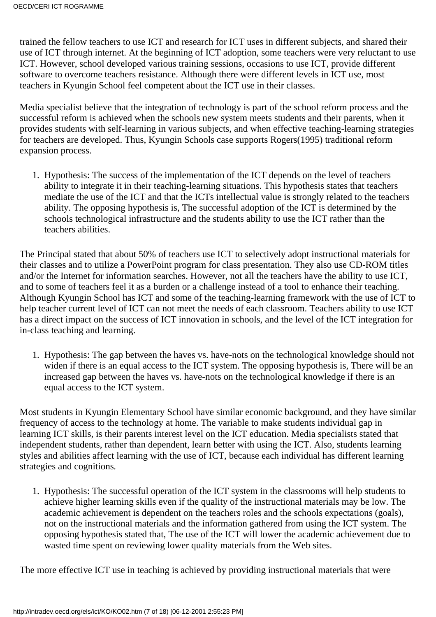trained the fellow teachers to use ICT and research for ICT uses in different subjects, and shared their use of ICT through internet. At the beginning of ICT adoption, some teachers were very reluctant to use ICT. However, school developed various training sessions, occasions to use ICT, provide different software to overcome teachers resistance. Although there were different levels in ICT use, most teachers in Kyungin School feel competent about the ICT use in their classes.

Media specialist believe that the integration of technology is part of the school reform process and the successful reform is achieved when the school s new system meets students and their parents, when it provides students with self-learning in various subjects, and when effective teaching-learning strategies for teachers are developed. Thus, Kyungin School s case supports Rogers (1995) traditional reform expansion process.

1. Hypothesis: The success of the implementation of the ICT depends on the level of teachers ability to integrate it in their teaching-learning situations. This hypothesis states that teachers mediate the use of the ICT and that the ICT s intellectual value is strongly related to the teachers ability. The opposing hypothesis is, The successful adoption of the ICT is determined by the school s technological infrastructure and the students ability to use the ICT rather than the teachers abilities.

The Principal stated that about 50% of teachers use ICT to selectively adopt instructional materials for their classes and to utilize a PowerPoint program for class presentation. They also use CD-ROM titles and/or the Internet for information searches. However, not all the teachers have the ability to use ICT, and to some of teachers feel it as a burden or a challenge instead of a tool to enhance their teaching. Although Kyungin School has ICT and some of the teaching-learning framework with the use of ICT to help teacher current level of ICT can not meet the needs of each classroom. Teachers ability to use ICT has a direct impact on the success of ICT innovation in schools, and the level of the ICT integration for in-class teaching and learning.

1. Hypothesis: The gap between the haves vs. have-nots on the technological knowledge should not widen if there is an equal access to the ICT system. The opposing hypothesis is, There will be an increased gap between the haves vs. have-nots on the technological knowledge if there is an equal access to the ICT system.

Most students in Kyungin Elementary School have similar economic background, and they have similar frequency of access to the technology at home. The variable to make students individual gap in learning ICT skills, is their parents interest level on the ICT education. Media specialists stated that independent students, rather than dependent, learn better with using the ICT. Also, students learning styles and abilities affect learning with the use of ICT, because each individual has different learning strategies and cognitions*.*

1. Hypothesis: The successful operation of the ICT system in the classrooms will help students to achieve higher learning skills even if the quality of the instructional materials may be low. The academic achievement is dependent on the teachers roles and the school s expectations (goals), not on the instructional materials and the information gathered from using the ICT system. The opposing hypothesis stated that, The use of the ICT will lower the academic achievement due to wasted time spent on reviewing lower quality materials from the Web sites.

The more effective ICT use in teaching is achieved by providing instructional materials that were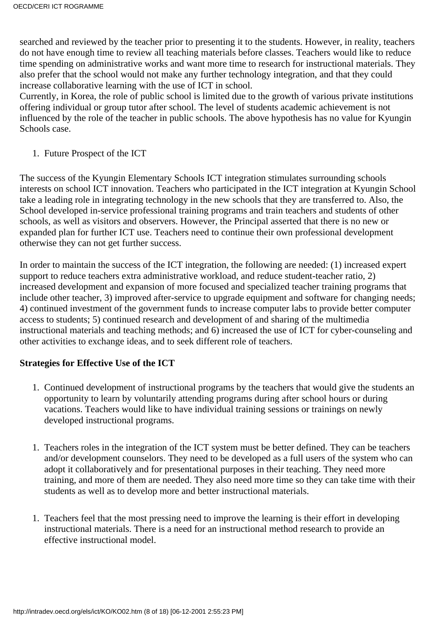searched and reviewed by the teacher prior to presenting it to the students. However, in reality, teachers do not have enough time to review all teaching materials before classes. Teachers would like to reduce time spending on administrative works and want more time to research for instructional materials. They also prefer that the school would not make any further technology integration, and that they could increase collaborative learning with the use of ICT in school.

Currently, in Korea, the role of public school is limited due to the growth of various private institutions offering individual or group tutor after school. The level of students academic achievement is not influenced by the role of the teacher in public schools. The above hypothesis has no value for Kyungin School s case.

1. Future Prospect of the ICT

The success of the Kyungin Elementary Schools ICT integration stimulates surrounding schools interests on school ICT innovation. Teachers who participated in the ICT integration at Kyungin School take a leading role in integrating technology in the new schools that they are transferred to. Also, the School developed in-service professional training programs and train teachers and students of other schools, as well as visitors and observers. However, the Principal asserted that there is no new or expanded plan for further ICT use. Teachers need to continue their own professional development otherwise they can not get further success.

In order to maintain the success of the ICT integration, the following are needed: (1) increased expert support to reduce teachers extra administrative workload, and reduce student-teacher ratio, 2) increased development and expansion of more focused and specialized teacher training programs that include other teacher, 3) improved after-service to upgrade equipment and software for changing needs; 4) continued investment of the government funds to increase computer labs to provide better computer access to students; 5) continued research and development of and sharing of the multimedia instructional materials and teaching methods; and 6) increased the use of ICT for cyber-counseling and other activities to exchange ideas, and to seek different role of teachers.

#### **Strategies for Effective Use of the ICT**

- Continued development of instructional programs by the teachers that would give the students an 1. opportunity to learn by voluntarily attending programs during after school hours or during vacations. Teachers would like to have individual training sessions or trainings on newly developed instructional programs.
- 1. Teachers roles in the integration of the ICT system must be better defined. They can be teachers and/or development counselors. They need to be developed as a full users of the system who can adopt it collaboratively and for presentational purposes in their teaching. They need more training, and more of them are needed. They also need more time so they can take time with their students as well as to develop more and better instructional materials.
- 1. Teachers feel that the most pressing need to improve the learning is their effort in developing instructional materials. There is a need for an instructional method research to provide an effective instructional model.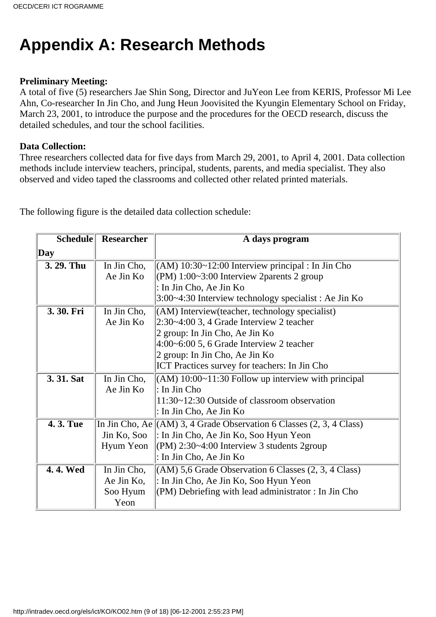## **Appendix A: Research Methods**

#### **Preliminary Meeting:**

A total of five (5) researchers Jae Shin Song, Director and JuYeon Lee from KERIS, Professor Mi Lee Ahn, Co-researcher In Jin Cho, and Jung Heun Joovisited the Kyungin Elementary School on Friday, March 23, 2001, to introduce the purpose and the procedures for the OECD research, discuss the detailed schedules, and tour the school facilities.

#### **Data Collection:**

Three researchers collected data for five days from March 29, 2001, to April 4, 2001. Data collection methods include interview teachers, principal, students, parents, and media specialist. They also observed and video taped the classrooms and collected other related printed materials.

The following figure is the detailed data collection schedule:

| <b>Schedule</b> | <b>Researcher</b> | A day s program                                                          |
|-----------------|-------------------|--------------------------------------------------------------------------|
| $\bf Day$       |                   |                                                                          |
| 3. 29. Thu      | In Jin Cho,       | $(AM)$ 10:30~12:00 Interview principal : In Jin Cho                      |
|                 | Ae Jin Ko         | (PM) $1:00~3:00$ Interview 2 parents 2 group                             |
|                 |                   | : In Jin Cho, Ae Jin Ko                                                  |
|                 |                   | 3:00~4:30 Interview technology specialist : Ae Jin Ko                    |
| 3.30. Fri       | In Jin Cho,       | $(AM)$ Interview (teacher, technology specialist)                        |
|                 | Ae Jin Ko         | $ 2:30-4:003, 4$ Grade Interview 2 teacher                               |
|                 |                   | 2 group: In Jin Cho, Ae Jin Ko                                           |
|                 |                   | $4:00$ ~6:00 5, 6 Grade Interview 2 teacher                              |
|                 |                   | 2 group: In Jin Cho, Ae Jin Ko                                           |
|                 |                   | <b>ICT</b> Practices survey for teachers: In Jin Cho                     |
| 3.31. Sat       | In Jin Cho,       | $\vert$ (AM) 10:00~11:30 Follow up interview with principal              |
|                 | Ae Jin Ko         | $\vert$ : In Jin Cho                                                     |
|                 |                   | 11:30~12:30 Outside of classroom observation                             |
|                 |                   | : In Jin Cho, Ae Jin Ko                                                  |
| 4.3. Tue        |                   | In Jin Cho, Ae $\ (AM)$ 3, 4 Grade Observation 6 Classes (2, 3, 4 Class) |
|                 | Jin Ko, Soo       | : In Jin Cho, Ae Jin Ko, Soo Hyun Yeon                                   |
|                 | Hyum Yeon         | $ $ (PM) 2:30~4:00 Interview 3 students 2group                           |
|                 |                   | : In Jin Cho, Ae Jin Ko                                                  |
| 4.4. Wed        | In Jin Cho,       | $(AM)$ 5,6 Grade Observation 6 Classes $(2, 3, 4 \text{ Class})$         |
|                 | Ae Jin Ko,        | : In Jin Cho, Ae Jin Ko, Soo Hyun Yeon                                   |
|                 | Soo Hyum          | $ $ (PM) Debriefing with lead administrator : In Jin Cho                 |
|                 | Yeon              |                                                                          |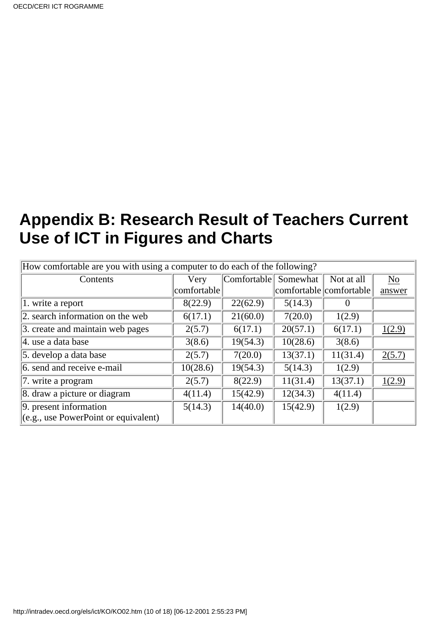## **Appendix B: Research Result of Teachers Current Use of ICT in Figures and Charts**

| How comfortable are you with using a computer to do each of the following? |             |                                 |          |                         |        |  |
|----------------------------------------------------------------------------|-------------|---------------------------------|----------|-------------------------|--------|--|
| Contents                                                                   | Very        | $\lfloor$ Comfortable $\rfloor$ | Somewhat | Not at all              | No     |  |
|                                                                            | comfortable |                                 |          | comfortable comfortable | answer |  |
| 1. write a report                                                          | 8(22.9)     | 22(62.9)                        | 5(14.3)  | O                       |        |  |
| 2. search information on the web                                           | 6(17.1)     | 21(60.0)                        | 7(20.0)  | 1(2.9)                  |        |  |
| 3. create and maintain web pages                                           | 2(5.7)      | 6(17.1)                         | 20(57.1) | 6(17.1)                 | 1(2.9) |  |
| 4. use a data base                                                         | 3(8.6)      | 19(54.3)                        | 10(28.6) | 3(8.6)                  |        |  |
| 5. develop a data base                                                     | 2(5.7)      | 7(20.0)                         | 13(37.1) | 11(31.4)                | 2(5.7) |  |
| 6. send and receive e-mail                                                 | 10(28.6)    | 19(54.3)                        | 5(14.3)  | 1(2.9)                  |        |  |
| 7. write a program                                                         | 2(5.7)      | 8(22.9)                         | 11(31.4) | 13(37.1)                | 1(2.9) |  |
| 8. draw a picture or diagram                                               | 4(11.4)     | 15(42.9)                        | 12(34.3) | 4(11.4)                 |        |  |
| 9. present information                                                     | 5(14.3)     | 14(40.0)                        | 15(42.9) | 1(2.9)                  |        |  |
| (e.g., use PowerPoint or equivalent)                                       |             |                                 |          |                         |        |  |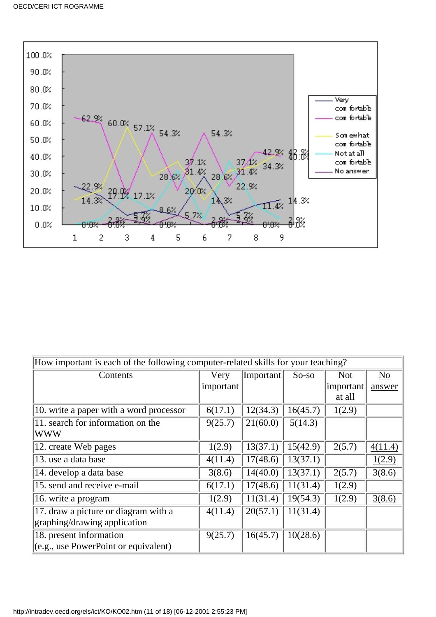

| How important is each of the following computer-related skills for your teaching? |           |           |          |            |                |
|-----------------------------------------------------------------------------------|-----------|-----------|----------|------------|----------------|
|                                                                                   |           |           |          |            |                |
| Contents                                                                          | Very      | Important | $So-so$  | <b>Not</b> | N <sub>o</sub> |
|                                                                                   | important |           |          | important  | answer         |
|                                                                                   |           |           |          | at all     |                |
| 10. write a paper with a word processor                                           | 6(17.1)   | 12(34.3)  | 16(45.7) | 1(2.9)     |                |
| 11. search for information on the                                                 | 9(25.7)   | 21(60.0)  | 5(14.3)  |            |                |
| WWW                                                                               |           |           |          |            |                |
| 12. create Web pages                                                              | 1(2.9)    | 13(37.1)  | 15(42.9) | 2(5.7)     | 4(11.4)        |
| 13. use a data base                                                               | 4(11.4)   | 17(48.6)  | 13(37.1) |            | 1(2.9)         |
| 14. develop a data base                                                           | 3(8.6)    | 14(40.0)  | 13(37.1) | 2(5.7)     | 3(8.6)         |
| 15. send and receive e-mail                                                       | 6(17.1)   | 17(48.6)  | 11(31.4) | 1(2.9)     |                |
| 16. write a program                                                               | 1(2.9)    | 11(31.4)  | 19(54.3) | 1(2.9)     | 3(8.6)         |
| 17. draw a picture or diagram with a                                              | 4(11.4)   | 20(57.1)  | 11(31.4) |            |                |
| graphing/drawing application                                                      |           |           |          |            |                |
| 18. present information                                                           | 9(25.7)   | 16(45.7)  | 10(28.6) |            |                |
| (c.g., use PowerPoint or equivalent)                                              |           |           |          |            |                |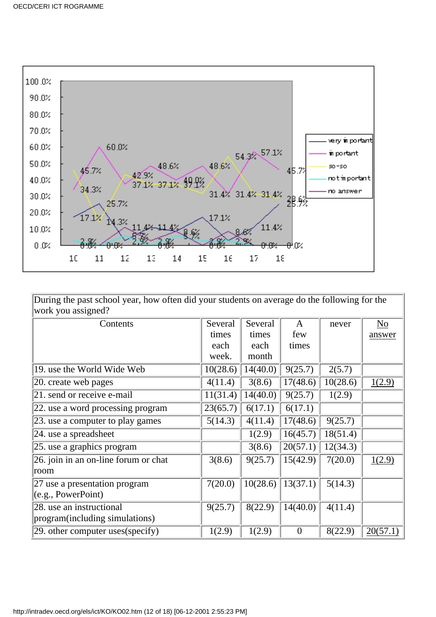

During the past school year, how often did your students on average do the following for the work you assigned?

| Contents                             | Several  | Several  | A        | never    | N <sub>0</sub> |
|--------------------------------------|----------|----------|----------|----------|----------------|
|                                      | times    | times    | few      |          | answer         |
|                                      | each     | each     | times    |          |                |
|                                      | week.    | month    |          |          |                |
| 19. use the World Wide Web           | 10(28.6) | 14(40.0) | 9(25.7)  | 2(5.7)   |                |
| 20. create web pages                 | 4(11.4)  | 3(8.6)   | 17(48.6) | 10(28.6) | 1(2.9)         |
| 21. send or receive e-mail           | 11(31.4) | 14(40.0) | 9(25.7)  | 1(2.9)   |                |
| 22. use a word processing program    | 23(65.7) | 6(17.1)  | 6(17.1)  |          |                |
| 23. use a computer to play games     | 5(14.3)  | 4(11.4)  | 17(48.6) | 9(25.7)  |                |
| 24. use a spreadsheet                |          | 1(2.9)   | 16(45.7) | 18(51.4) |                |
| $ 25$ . use a graphics program       |          | 3(8.6)   | 20(57.1) | 12(34.3) |                |
| 26. join in an on-line forum or chat | 3(8.6)   | 9(25.7)  | 15(42.9) | 7(20.0)  | 1(2.9)         |
| room                                 |          |          |          |          |                |
| 27 use a presentation program        | 7(20.0)  | 10(28.6) | 13(37.1) | 5(14.3)  |                |
| (e.g., PowerPoint)                   |          |          |          |          |                |
| 28. use an instructional             | 9(25.7)  | 8(22.9)  | 14(40.0) | 4(11.4)  |                |
| program(including simulations)       |          |          |          |          |                |
| $ 29.$ other computer uses (specify) | 1(2.9)   | 1(2.9)   | $\theta$ | 8(22.9)  | 20(57.1)       |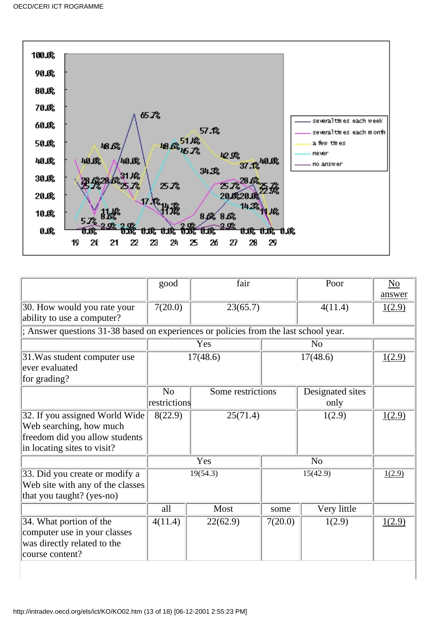

|                                                                                                                                       | good                           | fair              |                | Poor                     | $\underline{\mathrm{No}}$<br>answer |
|---------------------------------------------------------------------------------------------------------------------------------------|--------------------------------|-------------------|----------------|--------------------------|-------------------------------------|
| 30. How would you rate your<br>ability to use a computer?                                                                             | 7(20.0)<br>23(65.7)            |                   |                | 4(11.4)                  | 1(2.9)                              |
| ; Answer questions 31-38 based on experiences or policies from the last school year.                                                  |                                |                   |                |                          |                                     |
|                                                                                                                                       |                                | Yes               | N <sub>0</sub> |                          |                                     |
| 31. Was student computer use<br>ever evaluated<br>for grading?                                                                        | 17(48.6)                       |                   | 17(48.6)       |                          | 1(2.9)                              |
|                                                                                                                                       | N <sub>o</sub><br>restrictions | Some restrictions |                | Designated sites<br>only |                                     |
| 32. If you assigned World Wide<br>8(22.9)<br>Web searching, how much<br>freedom did you allow students<br>in locating sites to visit? |                                | 25(71.4)          |                | 1(2.9)                   | 1(2.9)                              |
|                                                                                                                                       | Yes                            |                   |                | N <sub>o</sub>           |                                     |
| 33. Did you create or modify a<br>Web site with any of the classes<br>that you taught? (yes-no)                                       | 19(54.3)                       |                   | 15(42.9)       |                          | 1(2.9)                              |
|                                                                                                                                       | all                            | Most              | some           | Very little              |                                     |
| 34. What portion of the<br>computer use in your classes<br>was directly related to the<br>course content?                             | 4(11.4)                        | 22(62.9)          | 7(20.0)        | 1(2.9)                   | 1(2.9)                              |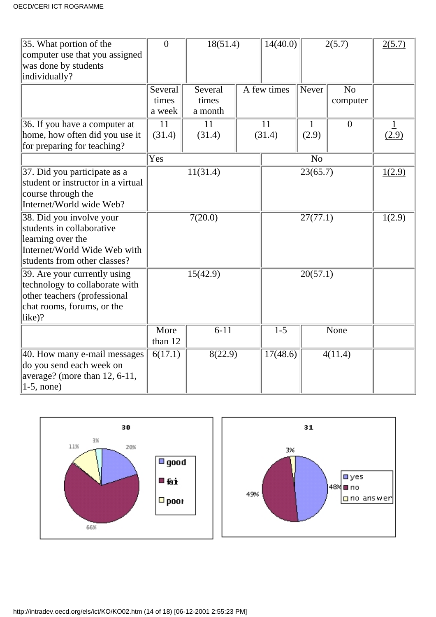| 35. What portion of the<br>computer use that you assigned<br>was done by students | $\overline{0}$       | 18(51.4)         |          | 14(40.0)    |                | 2(5.7)           | 2(5.7) |
|-----------------------------------------------------------------------------------|----------------------|------------------|----------|-------------|----------------|------------------|--------|
| individually?                                                                     |                      |                  |          |             |                |                  |        |
|                                                                                   | Several<br>times     | Several<br>times |          | A few times | Never          | N <sub>o</sub>   |        |
|                                                                                   | a week               | a month          |          |             |                | computer         |        |
| 36. If you have a computer at                                                     | 11                   | 11               |          | 11          | Ι.             | $\boldsymbol{0}$ |        |
| home, how often did you use it                                                    | (31.4)               | (31.4)           |          | (31.4)      | (2.9)          |                  | (2.9)  |
| for preparing for teaching?                                                       |                      |                  |          |             |                |                  |        |
|                                                                                   | Yes                  |                  |          |             | N <sub>o</sub> |                  |        |
| 37. Did you participate as a                                                      |                      | 11(31.4)         |          |             | 23(65.7)       |                  | 1(2.9) |
| student or instructor in a virtual                                                |                      |                  |          |             |                |                  |        |
| course through the                                                                |                      |                  |          |             |                |                  |        |
| Internet/World wide Web?                                                          |                      |                  |          |             |                |                  | 1(2.9) |
| 38. Did you involve your                                                          |                      | 7(20.0)          |          |             | 27(77.1)       |                  |        |
| students in collaborative                                                         |                      |                  |          |             |                |                  |        |
| learning over the<br>Internet/World Wide Web with                                 |                      |                  |          |             |                |                  |        |
| students from other classes?                                                      |                      |                  |          |             |                |                  |        |
| 39. Are your currently using                                                      | 15(42.9)             |                  | 20(57.1) |             |                |                  |        |
| technology to collaborate with                                                    |                      |                  |          |             |                |                  |        |
| other teachers (professional                                                      |                      |                  |          |             |                |                  |        |
| chat rooms, forums, or the                                                        |                      |                  |          |             |                |                  |        |
| $\text{like}$ ?                                                                   |                      |                  |          |             |                |                  |        |
|                                                                                   | More                 | $6-11$           |          | $1-5$       |                | None             |        |
|                                                                                   | than 12              |                  |          |             |                |                  |        |
| 40. How many e-mail messages                                                      | $\overline{6(17.1)}$ | 8(22.9)          |          | 17(48.6)    |                | 4(11.4)          |        |
| do you send each week on                                                          |                      |                  |          |             |                |                  |        |
| average? (more than 12, 6-11,                                                     |                      |                  |          |             |                |                  |        |
| $1-5$ , none)                                                                     |                      |                  |          |             |                |                  |        |

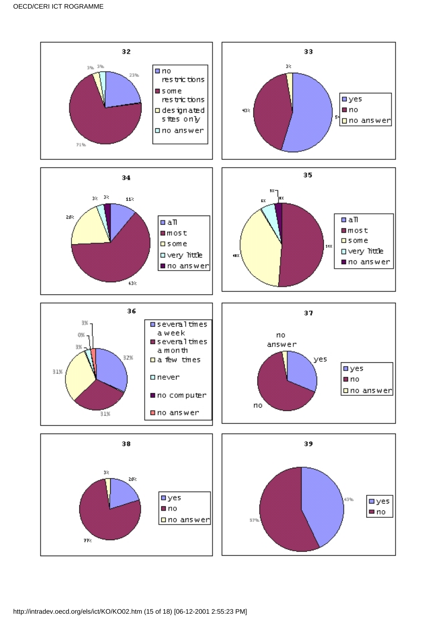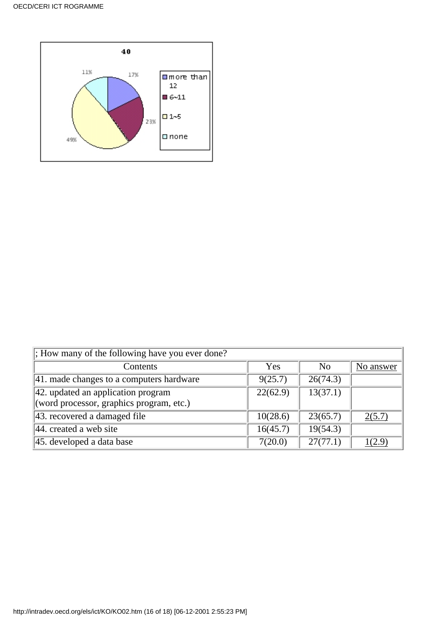

| $\vert$ ; How many of the following have you ever done? |          |                |           |
|---------------------------------------------------------|----------|----------------|-----------|
| Contents                                                | Yes      | N <sub>0</sub> | No answer |
| $ 41$ . made changes to a computer s hardware           | 9(25.7)  | 26(74.3)       |           |
| 42. updated an application program                      | 22(62.9) | 13(37.1)       |           |
| (word processor, graphics program, etc.)                |          |                |           |
| $ 43.$ recovered a damaged file                         | 10(28.6) | 23(65.7)       | 2(5.7)    |
| $ 44$ . created a web site                              | 16(45.7) | 19(54.3)       |           |
| 45. developed a data base                               | 7(20.0)  | 27(77.1)       | (2.9)     |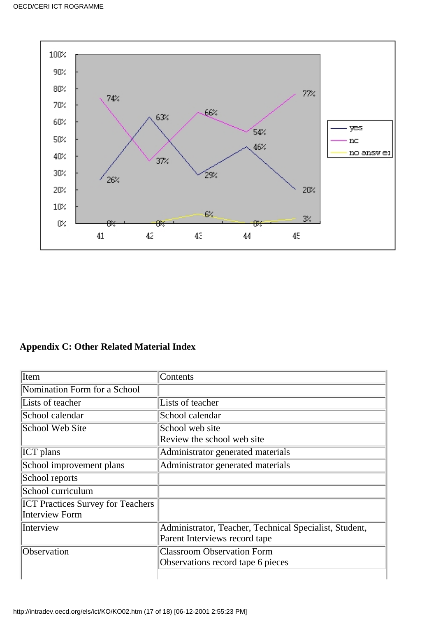

### **Appendix C: Other Related Material Index**

| Item                                     | Contents                                               |
|------------------------------------------|--------------------------------------------------------|
| Nomination Form for a School             |                                                        |
| Lists of teacher                         | Lists of teacher                                       |
| School calendar                          | School calendar                                        |
| School Web Site                          | School web site                                        |
|                                          | Review the school web site                             |
| <b>ICT</b> plans                         | Administrator generated materials                      |
| School improvement plans                 | Administrator generated materials                      |
| School reports                           |                                                        |
| School curriculum                        |                                                        |
| <b>ICT Practices Survey for Teachers</b> |                                                        |
| Interview Form                           |                                                        |
| Interview                                | Administrator, Teacher, Technical Specialist, Student, |
|                                          | Parent Interviews record tape                          |
| Observation                              | <b>Classroom Observation Form</b>                      |
|                                          | Observations record tape 6 pieces                      |
|                                          |                                                        |